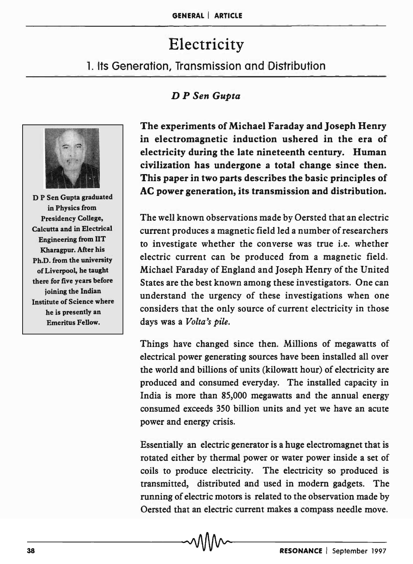# Electricity

## 1. Its Generation, Transmission and Distribution

## D *P Sen Gupta*



D P Sen Gupta graduated in Physics from Presidency College, Calcutta and in Electrical Engineering from lIT Kharagpur. After his Ph.D. from the university of Liverpool, he taught there for five years before joining the Indian Institute of Science where he is presently an Emeritus Fellow.

The experiments of Michael Faraday and Joseph Henry in electromagnetic induction ushered in the era of electricity during the late nineteenth century. Human civilization has undergone a total change since then. This paper in two parts describes the basic principles of AC power generation, its transmission and distribution.

The well known observations made by Oersted that an electric current produces a magnetic field led a number of researchers to investigate whether the converse was true i.e. whether electric current can be produced from a magnetic field. Michael Faraday of England and Joseph Henry of the United States are the best known among these investigators. One can understand the urgency of these investigations when one considers that the only source of current electricity in those days was a *Volta's pile.* 

Things have changed since then. Millions of megawatts of electrical power generating sources have been installed all over the world and billions of units (kilowatt hour) of electricity are produced and consumed everyday. The installed capacity in India is more than 85,000 megawatts and the annual energy consumed exceeds 350 billion units and yet we have an acute power and energy crisis.

Essentially an electric generator is a huge electromagnet that is rotated either by thermal power or water power inside a set of coils to produce electricity. The electricity so produced is transmitted, distributed and used in modem gadgets. The running of electric motors is related to the observation made by Oersted that an electric current makes a compass needle move.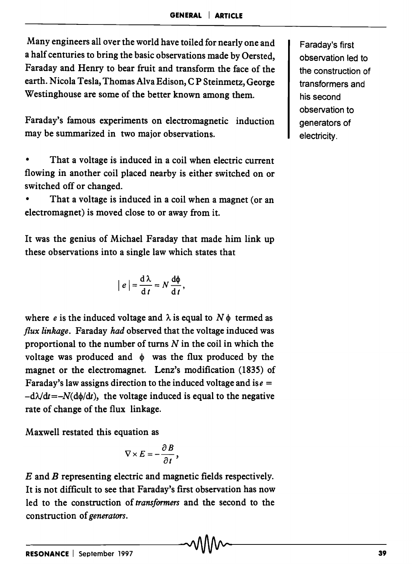Many engineers all over the world have toiled for nearly one and a half centuries to bring the basic observations made by Oersted, Faraday and Henry to bear fruit and transform the face of the earth. Nicola Tesla, Thomas Alva Edison, C P Steinmetz, George Westinghouse are some of the better known among them.

Faraday's famous experiments on electromagnetic induction may be summarized in two major observations.

That a voltage is induced in a coil when electric current flowing in another coil placed nearby is either switched on or switched off or changed.

That a voltage is induced in a coil when a magnet (or an electromagnet) is moved close to or away from it.

It was the genius of Michael Faraday that made him link up these observations into a single law which states that

$$
|e| = \frac{\mathrm{d}\lambda}{\mathrm{d}t} = N \frac{\mathrm{d}\phi}{\mathrm{d}t},
$$

where *e* is the induced voltage and  $\lambda$  is equal to  $N\phi$  termed as *flux linkage.* Faraday *had* observed that the voltage induced was proportional to the number of turns  $N$  in the coil in which the voltage was produced and  $\phi$  was the flux produced by the magnet or the electromagnet. Lenz's modification (1835) of Faraday's law assigns direction to the induced voltage and is  $e =$  $-d\lambda/dt=-N(d\phi/dt)$ , the voltage induced is equal to the negative rate of change of the flux linkage.

Maxwell restated this equation as

$$
\nabla \times E = -\frac{\partial B}{\partial t},
$$

*E* and *B* representing electric and magnetic fields respectively. It is not difficult to see that Faraday's first observation has now led to the construction of *transformers* and the second to the construction of *generators.* 

Faraday's first observation led to the construction of transformers and his second observation to generators of electricity .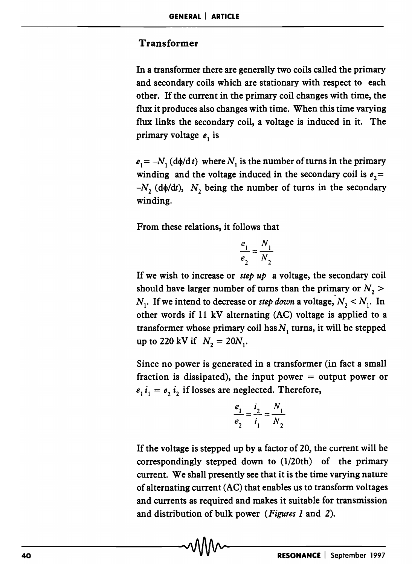### Transformer

In a transformer there are generally two coils called the primary and secondary coils which are stationary with respect to each other. If the current in the primary coil changes with time, the flux it produces also changes with time. When this time varying flux links the secondary coil, a voltage is induced in it. The primary voltage  $e_1$  is

 $e_1 = -N_1$  (d $\phi/dt$ ) where  $N_1$  is the number of turns in the primary winding and the voltage induced in the secondary coil is  $e_2$  =  $-N$ <sub>z</sub> (d $\phi$ /dt), N<sub>z</sub> being the number of turns in the secondary winding.

From these relations, it follows that

$$
\frac{e_1}{e_2} = \frac{N_1}{N_2}
$$

If we wish to increase or *step up* a voltage, the secondary coil should have larger number of turns than the primary or  $N$ ,  $>$  $N_1$ . If we intend to decrease or *step down* a voltage,  $N_2 < N_1$ . In other words if 11 kV alternating (AC) voltage is applied to a transformer whose primary coil has  $N<sub>1</sub>$  turns, it will be stepped up to 220 kV if  $N_2 = 20N_1$ .

Since no power is generated in a transformer (in fact a small fraction is dissipated), the input power  $=$  output power or  $e_1 i_1 = e_2 i_2$  if losses are neglected. Therefore,

$$
\frac{e_1}{e_2} = \frac{i_2}{i_1} = \frac{N_1}{N_2}
$$

If the voltage is stepped up by a factor of 20, the current will be correspondingly stepped down to (l/20th) of the primary current. We shall presently see that it is the time varying nature of alternating current (AC) that enables us to transform voltages and currents as required and makes it suitable for transmission and distribution of bulk power *(Figures 1* and 2). and distribution of bulk power (*Figures 1* and 2).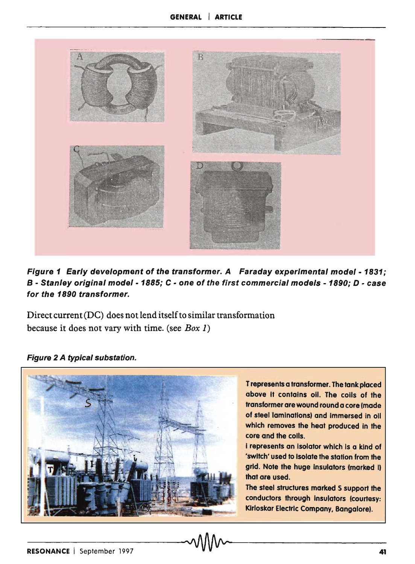

Figure 1 Early development of the transformer. A Faraday experimental model - 1831; B - Stanley original model - 1885; C - one of the first commercial models - 1890; D - case for the 1890 transformer.

Direct current (DC) does not lend itself to similar transformation because it does not vary with time. (see *Box 1)* 

Figure 2 A typical substation.

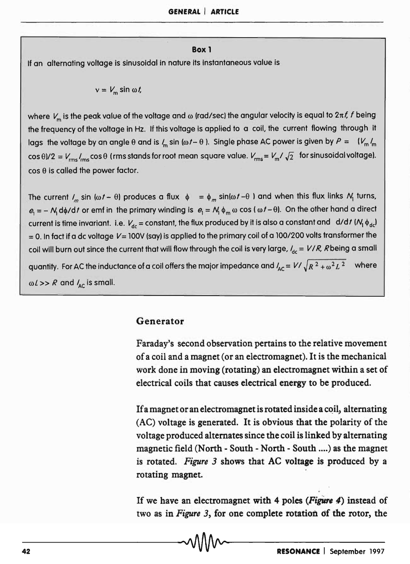#### Box 1

If an alternating voltage is sinusoidal in nature its instantaneous value is

$$
v = V_m \sin \omega t
$$

where  $V_m$  is the peak value of the voltage and  $\omega$  (rad/sec) the angular velocity is equal to  $2\pi f$ , f being the frequency of the voltage in Hz. If this voltage is applied to a coil, the current flowing through it lags the voltage by an angle  $\theta$  and is  $\ell_m$  sin ( $\omega t - \theta$ ). Single phase AC power is given by  $P = (\nu_m \ell_m$  $\cos \theta/2 = V_{\text{rms}}/I_{\text{rms}} \cos \theta$  (rms stands for root mean square value.  $V_{\text{rms}} = V_{\text{m}}/I_{\text{2}}$  for sinusoidal voltage).  $\cos \theta$  is called the power factor.

The current *I<sub>m</sub>* sin ( $\omega t$  -  $\theta$ ) produces a flux  $\phi = \phi_m \sin(\omega t - \theta)$  and when this flux links  $N_1$  turns,  $e_1 = -N_1 d\phi/dt$  or emf in the primary winding is  $e_1 = N_1 \phi_m \omega \cos(\omega t - \theta)$ . On the other hand a direct current is time invariant. i.e.  $V_{dc}$  = constant, the flux produced by it is also a constant and d/d/ ( $M_1 \phi_{dc}$ )  $=$  0. In fact if a dc voltage  $V=$  100V (say) is applied to the primary coil of a 100/200 volts transformer the coil will burn out since the current that will flow through the coil is very large, *'de* = *V I R,* Rbeing a small quantity. For AC the inductance of a coil offers the major impedance and  $I_{AC} = V / \sqrt{R^2 + \omega^2 L^2}$  where  $\omega l >> R$  and  $l_{\text{AC}}$  is small.

#### Generator

Faraday's second observation pertains to the relative movement of a coil and a magnet (or an electromagnet). It is the mechanical work done in moving (rotating) an electromagnet within a set of electrical coils that causes electrical energy to be produced.

If a magnet or an electromagnet is rotated inside a coil, alternating (AC) voltage is generated. It is obvious that the polarity of the voltage produced alternates since the coil is linked by alternating magnetic field (North - South - North - South .... ) as the magnet is rotated. *Figure* 3 shows that AC voltage is produced by a rotating magnet.

If we have an electromagnet with 4 poles *(Figure 4)* instead of two as in *Figure 3*, for one complete rotation of the rotor, the  $\sim \sqrt{\frac{2\pi}{\pi}}$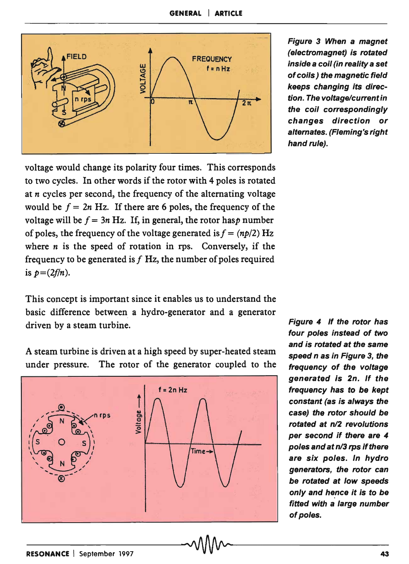

voltage would change its polarity four times. This corresponds to two cycles. In other words if the rotor with 4 poles is rotated at *n* cycles per second, the frequency of the alternating voltage would be  $f = 2n$  Hz. If there are 6 poles, the frequency of the voltage will be  $f = 3n$  Hz. If, in general, the rotor has *p* number of poles, the frequency of the voltage generated is  $f = (np/2) Hz$ where *n* is the speed of rotation in rps. Conversely, if the frequency to be generated is  $f$  Hz, the number of poles required is  $p=(2f/n)$ .

This concept is important since it enables us to understand the basic difference between a hydro-generator and a generator driven by a steam turbine.

A steam turbine is driven at a high speed by super-heated steam under pressure. The rotor of the generator coupled to the



Figure 3 When a magnet (electromagnet) is rotated inside a coil (in reality a set of coils) the magnetic field keeps changing its direction. The voltage/current in the coil correspondingly changes direction or alternates. (Fleming's right hand rule).

Figure 4 If the rotor has four poles instead of two and is rotated at the same speed n as in Figure 3, the frequency of the voltage generated Is 2n. If the frequency has to be kept constant (as is always the case) the rotor should be rotated at n/2 revolutions per second if there are 4 poles and at n/3 rps if there are six poles. In hydro generators, the rotor can be rotated at low speeds only and hence it is to be fitted with a large number of poles.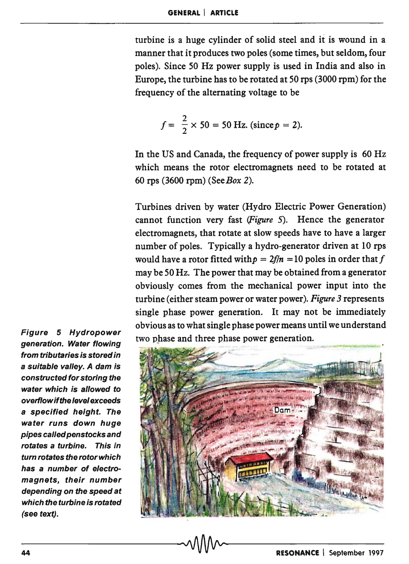turbine is a huge cylinder of solid steel and it is wound in a manner that it produces two poles (some times, but seldom, four poles). Since 50 Hz power supply is used in India and also in Europe, the turbine has to be rotated at 50 rps (3000 rpm) for the frequency of the alternating voltage to be

$$
f = \frac{2}{2} \times 50 = 50
$$
 Hz. (since  $p = 2$ ).

In the US and Canada, the frequency of power supply is 60 Hz which means the rotor electromagnets need to be rotated at 60 rps (3600 rpm) *(SeeBox 2).* 

Turbines driven by water (Hydro Electric Power Generation) cannot function very fast *(Figure* 5). Hence the generator electromagnets, that rotate at slow speeds have to have a larger number of poles. Typically a hydro-generator driven at 10 rps would have a rotor fitted with  $p = 2f/n = 10$  poles in order that f may be 50 Hz. The power that may be obtained from a generator obviously comes from the mechanical power input into the turbine (either steam power or water power). *Figure* 3 represents single phase power generation. It may not be immediately obvious as to what single phase power means until we understand two phase and three phase power generation.



Figure 5 Hydropower generation. Water flowing from tributaries is stored in a suitable valley. A dam is constructed for storing the water which is allowed to overflowifthe level exceeds a specified height. The water runs down huge pipes called penstocks and rotates a turbine. This in tum rotates the rotor which has a number of electromagnets, their number depending on the speed at which the turbine is rotated (see text).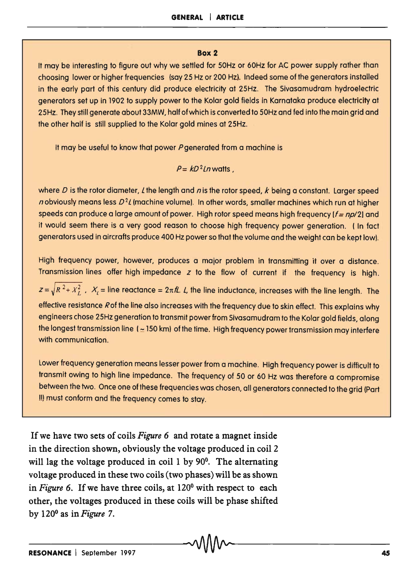#### **Box 2**

It may be interesting to figure out why we settled for 50Hz or 60Hz for AC power supply rather than choosing lower or higher frequencies (say 25 Hz or 200 Hz). Indeed some of the generators installed in the early part of this century did produce electricity at 25Hz. The Sivasamudram hydroelectric generators set up in 1902 to supply power to the Kolar gold fields in Karnataka produce electricity at 25Hz. They still generate about 33MW, half of which is converted to 50Hz and fed into the main grid and the other half is still supplied to the Kolar gold mines at 25Hz.

It may be useful to know that power  $P$  generated from a machine is

$$
P = kD^2Ln
$$
 watts,

where D is the rotor diameter, L the length and n is the rotor speed, k being a constant. Larger speed n obviously means less  $D<sup>2</sup>l$  (machine volume). In other words, smaller machines which run at higher speeds can produce a large amount of power. High rotor speed means high frequency  $(f = np/2)$  and it would seem there is a very good reason to choose high frequency power generation. (In fact generators used in aircrafts produce 400 Hz power so that the volume and the weight can be kept low).

High frequency power, however, produces a major problem in transmitting it over a distance. Transmission lines offer high impedance *z* to the flow of current if the frequency is high.

 $Z=\sqrt{R^2+X_L^2}$ ,  $X_l$  = line reactance =  $2\pi\hbar$ . *L*, the line inductance, increases with the line length. The effective resistance Rof the line also increases with the frequency due to skin effect. This explains why engineers chose 25Hz generation to transmit power from Sivasamudram to the Kolar gold fields, along the longest transmission line ( $\approx$  150 km) of the time. High frequency power transmission may interfere with communication.

Lower frequency generation means lesser power from a machine. High frequency power is difficult to transmit owing to high line impedance. The frequency of 50 or 60 Hz was therefore a compromise between the two. Once one of these frequencies was chosen, all generators connected to the grid (Part II) must conform and the frequency comes to stay.

If we have two sets of coils *Figure* 6 and rotate a magnet inside in the direction shown, obviously the voltage produced in coil 2 will lag the voltage produced in coil 1 by 90<sup>0</sup>. The alternating voltage produced in these two coils (two phases) will be as shown in *Figure* 6. If we have three coils, at 120° with respect to each other, the voltages produced in these coils will be phase shifted by 120° as in *Figure* 7.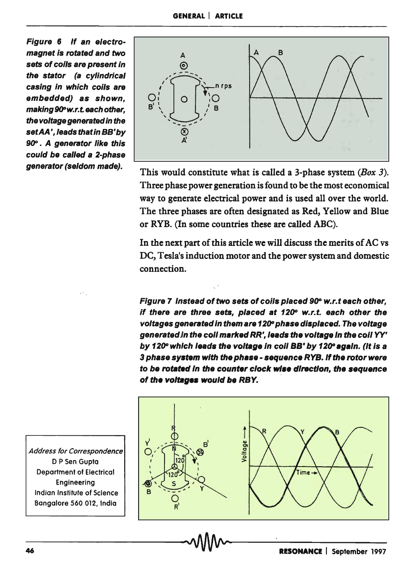Figure 6 If an electromagnet is rotated and two sets of coils are present in the stator (a cylindrical casing in which coils are embedded) as shown, making 90°w.r.t. each other, the voltage generated in the set AA', leads that in BB' by 90°. A generator like this could be called a 2-phase generator (seldom made).



This would constitute what is called a 3-phase system  $(Box 3)$ . Three phase power generation is found to be the most economical way to generate electrical power and is used all over the world. The three phases are often designated as Red, Yellow and Blue or RYB. (In some countries these are called ABC).

In the next part of this article we will discuss the merits of AC vs DC, Tesla's induction motor and the power system and domestic connection.

Figure 7 Instead of two sets of coils placed 90° w.r.t each other, if there are three sets, placed at 120° w.r.t. each other the voltages generated in them are 120° phase displaced. The voltage generatedjn the coli marked RR', leads the voltage In the coli YY' by 120° which leads the voltage in coil BB' by 120° again. (It is a 3 phase system with the phase - sequence RYB. If the rotor were to be rotated in the counter clock wise direction, the sequence of the voltages would be RBY.



Address for Correspondence D P Sen Gupta Department of Electrical Engineering Indian Institute of Science Bangalore 560 012, India